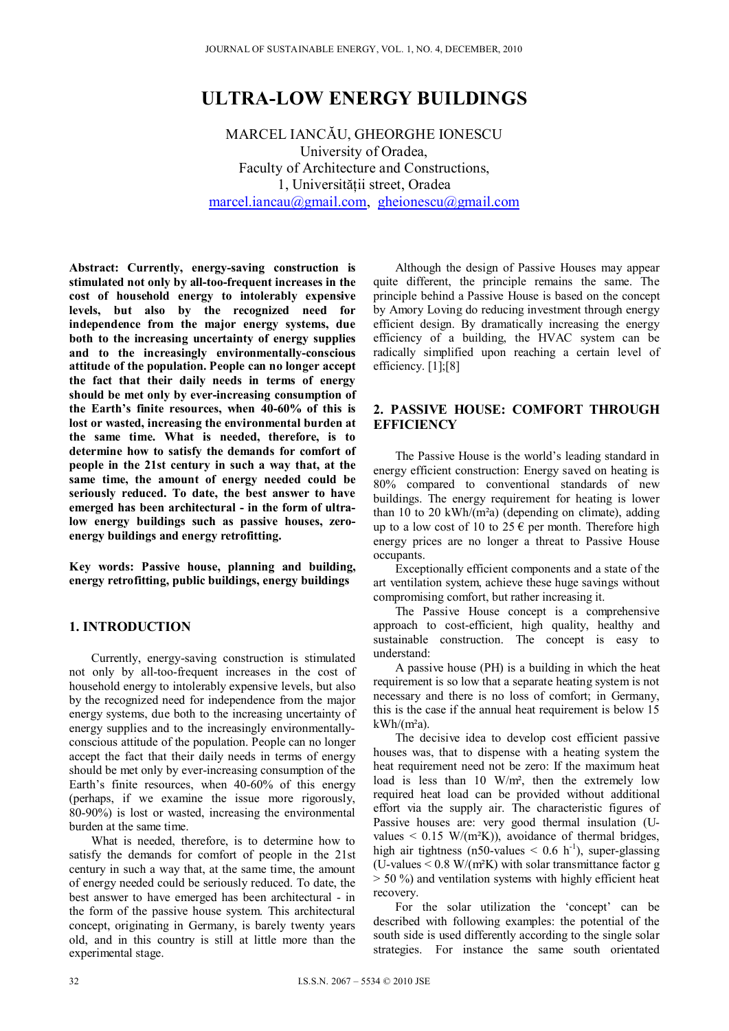# **ULTRA-LOW ENERGY BUILDINGS**

MARCEL IANCĂU, GHEORGHE IONESCU University of Oradea, Faculty of Architecture and Constructions, 1, Universităţii street, Oradea marcel.iancau@gmail.com, gheionescu@gmail.com

**Abstract: Currently, energy-saving construction is stimulated not only by all-too-frequent increases in the cost of household energy to intolerably expensive levels, but also by the recognized need for independence from the major energy systems, due both to the increasing uncertainty of energy supplies and to the increasingly environmentally-conscious attitude of the population. People can no longer accept the fact that their daily needs in terms of energy should be met only by ever-increasing consumption of the Earth's finite resources, when 40-60% of this is lost or wasted, increasing the environmental burden at the same time. What is needed, therefore, is to determine how to satisfy the demands for comfort of people in the 21st century in such a way that, at the same time, the amount of energy needed could be seriously reduced. To date, the best answer to have emerged has been architectural - in the form of ultralow energy buildings such as passive houses, zeroenergy buildings and energy retrofitting.** 

**Key words: Passive house, planning and building, energy retrofitting, public buildings, energy buildings** 

# **1. INTRODUCTION**

Currently, energy-saving construction is stimulated not only by all-too-frequent increases in the cost of household energy to intolerably expensive levels, but also by the recognized need for independence from the major energy systems, due both to the increasing uncertainty of energy supplies and to the increasingly environmentallyconscious attitude of the population. People can no longer accept the fact that their daily needs in terms of energy should be met only by ever-increasing consumption of the Earth's finite resources, when 40-60% of this energy (perhaps, if we examine the issue more rigorously, 80-90%) is lost or wasted, increasing the environmental burden at the same time.

What is needed, therefore, is to determine how to satisfy the demands for comfort of people in the 21st century in such a way that, at the same time, the amount of energy needed could be seriously reduced. To date, the best answer to have emerged has been architectural - in the form of the passive house system. This architectural concept, originating in Germany, is barely twenty years old, and in this country is still at little more than the experimental stage.

Although the design of Passive Houses may appear quite different, the principle remains the same. The principle behind a Passive House is based on the concept by Amory Loving do reducing investment through energy efficient design. By dramatically increasing the energy efficiency of a building, the HVAC system can be radically simplified upon reaching a certain level of efficiency. [1];[8]

#### **2. PASSIVE HOUSE: COMFORT THROUGH EFFICIENCY**

The Passive House is the world's leading standard in energy efficient construction: Energy saved on heating is 80% compared to conventional standards of new buildings. The energy requirement for heating is lower than 10 to 20 kWh/( $m<sup>2</sup>a$ ) (depending on climate), adding up to a low cost of 10 to 25  $\epsilon$  per month. Therefore high energy prices are no longer a threat to Passive House occupants.

Exceptionally efficient components and a state of the art ventilation system, achieve these huge savings without compromising comfort, but rather increasing it.

The Passive House concept is a comprehensive approach to cost-efficient, high quality, healthy and sustainable construction. The concept is easy to understand:

A passive house (PH) is a building in which the heat requirement is so low that a separate heating system is not necessary and there is no loss of comfort; in Germany, this is the case if the annual heat requirement is below 15  $kWh/(m<sup>2</sup>a)$ .

The decisive idea to develop cost efficient passive houses was, that to dispense with a heating system the heat requirement need not be zero: If the maximum heat load is less than 10 W/m², then the extremely low required heat load can be provided without additional effort via the supply air. The characteristic figures of Passive houses are: very good thermal insulation (Uvalues  $\leq$  0.15 W/(m<sup>2</sup>K)), avoidance of thermal bridges, high air tightness (n50-values  $< 0.6$  h<sup>-1</sup>), super-glassing (U-values  $\leq$  0.8 W/(m<sup>2</sup>K) with solar transmittance factor g  $>$  50 %) and ventilation systems with highly efficient heat recovery.

For the solar utilization the 'concept' can be described with following examples: the potential of the south side is used differently according to the single solar strategies. For instance the same south orientated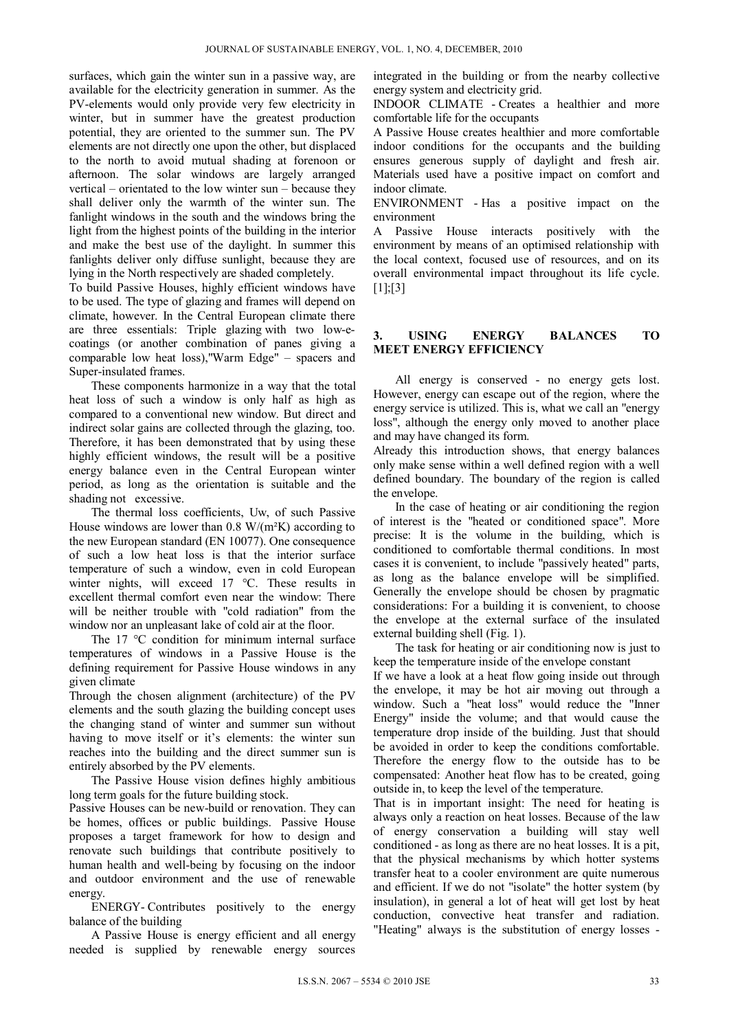surfaces, which gain the winter sun in a passive way, are available for the electricity generation in summer. As the PV-elements would only provide very few electricity in winter, but in summer have the greatest production potential, they are oriented to the summer sun. The PV elements are not directly one upon the other, but displaced to the north to avoid mutual shading at forenoon or afternoon. The solar windows are largely arranged vertical – orientated to the low winter sun – because they shall deliver only the warmth of the winter sun. The fanlight windows in the south and the windows bring the light from the highest points of the building in the interior and make the best use of the daylight. In summer this fanlights deliver only diffuse sunlight, because they are lying in the North respectively are shaded completely.

To build Passive Houses, highly efficient windows have to be used. The type of glazing and frames will depend on climate, however. In the Central European climate there are three essentials: Triple glazing with two low-ecoatings (or another combination of panes giving a comparable low heat loss),"Warm Edge" – spacers and Super-insulated frames.

These components harmonize in a way that the total heat loss of such a window is only half as high as compared to a conventional new window. But direct and indirect solar gains are collected through the glazing, too. Therefore, it has been demonstrated that by using these highly efficient windows, the result will be a positive energy balance even in the Central European winter period, as long as the orientation is suitable and the shading not excessive.

The thermal loss coefficients, Uw, of such Passive House windows are lower than  $0.8 \text{ W/(m²K)}$  according to the new European standard (EN 10077). One consequence of such a low heat loss is that the interior surface temperature of such a window, even in cold European winter nights, will exceed 17 °C. These results in excellent thermal comfort even near the window: There will be neither trouble with "cold radiation" from the window nor an unpleasant lake of cold air at the floor.

The 17 °C condition for minimum internal surface temperatures of windows in a Passive House is the defining requirement for Passive House windows in any given climate

Through the chosen alignment (architecture) of the PV elements and the south glazing the building concept uses the changing stand of winter and summer sun without having to move itself or it's elements: the winter sun reaches into the building and the direct summer sun is entirely absorbed by the PV elements.

The Passive House vision defines highly ambitious long term goals for the future building stock.

Passive Houses can be new-build or renovation. They can be homes, offices or public buildings. Passive House proposes a target framework for how to design and renovate such buildings that contribute positively to human health and well-being by focusing on the indoor and outdoor environment and the use of renewable energy.

ENERGY- Contributes positively to the energy balance of the building

A Passive House is energy efficient and all energy needed is supplied by renewable energy sources integrated in the building or from the nearby collective energy system and electricity grid.

INDOOR CLIMATE - Creates a healthier and more comfortable life for the occupants

A Passive House creates healthier and more comfortable indoor conditions for the occupants and the building ensures generous supply of daylight and fresh air. Materials used have a positive impact on comfort and indoor climate.

ENVIRONMENT - Has a positive impact on the environment

A Passive House interacts positively with the environment by means of an optimised relationship with the local context, focused use of resources, and on its overall environmental impact throughout its life cycle.  $[1]$ ;[3]

#### **3. USING ENERGY BALANCES TO MEET ENERGY EFFICIENCY**

All energy is conserved - no energy gets lost. However, energy can escape out of the region, where the energy service is utilized. This is, what we call an "energy loss", although the energy only moved to another place and may have changed its form.

Already this introduction shows, that energy balances only make sense within a well defined region with a well defined boundary. The boundary of the region is called the envelope.

In the case of heating or air conditioning the region of interest is the "heated or conditioned space". More precise: It is the volume in the building, which is conditioned to comfortable thermal conditions. In most cases it is convenient, to include "passively heated" parts, as long as the balance envelope will be simplified. Generally the envelope should be chosen by pragmatic considerations: For a building it is convenient, to choose the envelope at the external surface of the insulated external building shell (Fig. 1).

The task for heating or air conditioning now is just to keep the temperature inside of the envelope constant

If we have a look at a heat flow going inside out through the envelope, it may be hot air moving out through a window. Such a "heat loss" would reduce the "Inner Energy" inside the volume; and that would cause the temperature drop inside of the building. Just that should be avoided in order to keep the conditions comfortable. Therefore the energy flow to the outside has to be compensated: Another heat flow has to be created, going outside in, to keep the level of the temperature.

That is in important insight: The need for heating is always only a reaction on heat losses. Because of the law of energy conservation a building will stay well conditioned - as long as there are no heat losses. It is a pit, that the physical mechanisms by which hotter systems transfer heat to a cooler environment are quite numerous and efficient. If we do not "isolate" the hotter system (by insulation), in general a lot of heat will get lost by heat conduction, convective heat transfer and radiation. "Heating" always is the substitution of energy losses -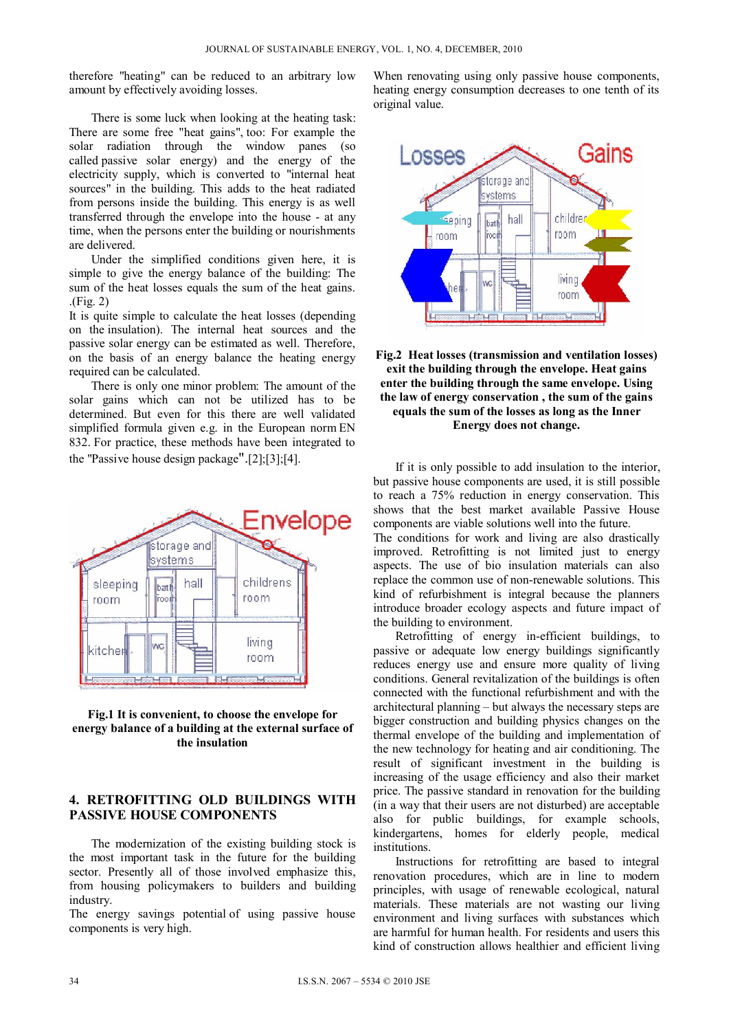therefore "heating" can be reduced to an arbitrary low amount by effectively avoiding losses.

There is some luck when looking at the heating task: There are some free "heat gains", too: For example the solar radiation through the window panes (so called passive solar energy) and the energy of the electricity supply, which is converted to "internal heat sources" in the building. This adds to the heat radiated from persons inside the building. This energy is as well transferred through the envelope into the house - at any time, when the persons enter the building or nourishments are delivered.

Under the simplified conditions given here, it is simple to give the energy balance of the building: The sum of the heat losses equals the sum of the heat gains. .(Fig. 2)

It is quite simple to calculate the heat losses (depending on the insulation). The internal heat sources and the passive solar energy can be estimated as well. Therefore, on the basis of an energy balance the heating energy required can be calculated.

There is only one minor problem: The amount of the solar gains which can not be utilized has to be determined. But even for this there are well validated simplified formula given e.g. in the European norm EN 832. For practice, these methods have been integrated to the "Passive house design package".[2];[3];[4].





## **4. RETROFITTING OLD BUILDINGS WITH PASSIVE HOUSE COMPONENTS**

The modernization of the existing building stock is the most important task in the future for the building sector. Presently all of those involved emphasize this, from housing policymakers to builders and building industry.

The energy savings potential of using passive house components is very high.

When renovating using only passive house components, heating energy consumption decreases to one tenth of its original value.





If it is only possible to add insulation to the interior, but passive house components are used, it is still possible to reach a 75% reduction in energy conservation. This shows that the best market available Passive House components are viable solutions well into the future.

The conditions for work and living are also drastically improved. Retrofitting is not limited just to energy aspects. The use of bio insulation materials can also replace the common use of non-renewable solutions. This kind of refurbishment is integral because the planners introduce broader ecology aspects and future impact of the building to environment.

Retrofitting of energy in-efficient buildings, to passive or adequate low energy buildings significantly reduces energy use and ensure more quality of living conditions. General revitalization of the buildings is often connected with the functional refurbishment and with the architectural planning – but always the necessary steps are bigger construction and building physics changes on the thermal envelope of the building and implementation of the new technology for heating and air conditioning. The result of significant investment in the building is increasing of the usage efficiency and also their market price. The passive standard in renovation for the building (in a way that their users are not disturbed) are acceptable also for public buildings, for example schools, kindergartens, homes for elderly people, medical institutions.

Instructions for retrofitting are based to integral renovation procedures, which are in line to modern principles, with usage of renewable ecological, natural materials. These materials are not wasting our living environment and living surfaces with substances which are harmful for human health. For residents and users this kind of construction allows healthier and efficient living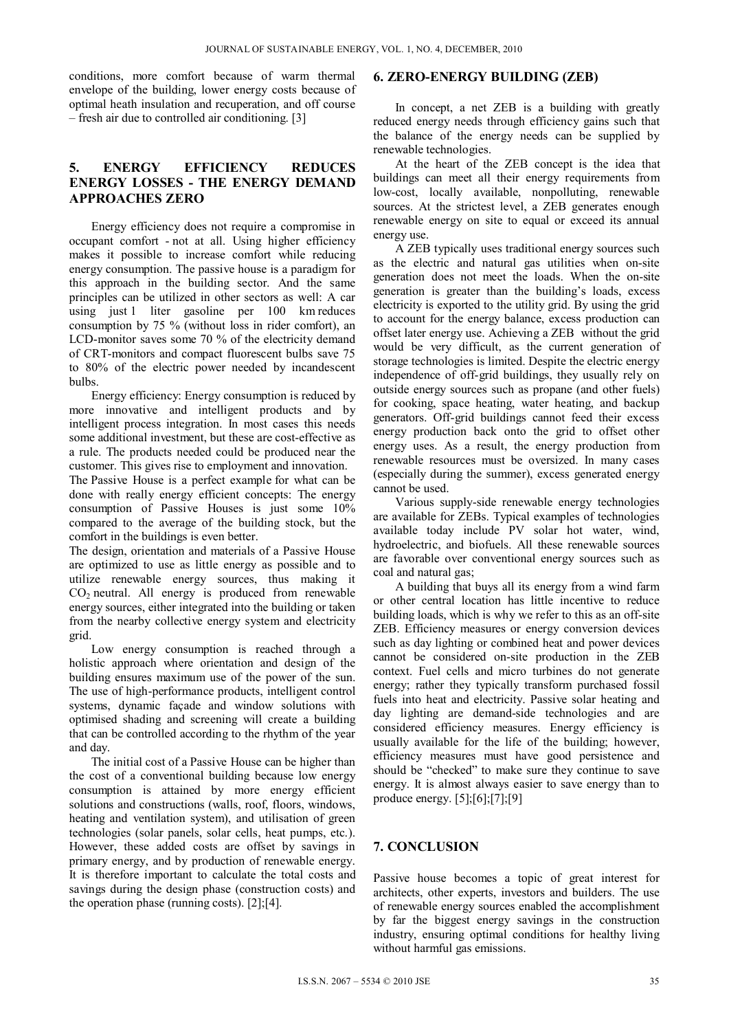conditions, more comfort because of warm thermal envelope of the building, lower energy costs because of optimal heath insulation and recuperation, and off course – fresh air due to controlled air conditioning. [3]

## **5. ENERGY EFFICIENCY REDUCES ENERGY LOSSES - THE ENERGY DEMAND APPROACHES ZERO**

Energy efficiency does not require a compromise in occupant comfort - not at all. Using higher efficiency makes it possible to increase comfort while reducing energy consumption. The passive house is a paradigm for this approach in the building sector. And the same principles can be utilized in other sectors as well: A car using just 1 liter gasoline per 100 km reduces consumption by 75 % (without loss in rider comfort), an LCD-monitor saves some 70 % of the electricity demand of CRT-monitors and compact fluorescent bulbs save 75 to 80% of the electric power needed by incandescent bulbs.

Energy efficiency: Energy consumption is reduced by more innovative and intelligent products and by intelligent process integration. In most cases this needs some additional investment, but these are cost-effective as a rule. The products needed could be produced near the customer. This gives rise to employment and innovation.

The Passive House is a perfect example for what can be done with really energy efficient concepts: The energy consumption of Passive Houses is just some 10% compared to the average of the building stock, but the comfort in the buildings is even better.

The design, orientation and materials of a Passive House are optimized to use as little energy as possible and to utilize renewable energy sources, thus making it  $CO<sub>2</sub>$  neutral. All energy is produced from renewable energy sources, either integrated into the building or taken from the nearby collective energy system and electricity grid.

Low energy consumption is reached through a holistic approach where orientation and design of the building ensures maximum use of the power of the sun. The use of high-performance products, intelligent control systems, dynamic façade and window solutions with optimised shading and screening will create a building that can be controlled according to the rhythm of the year and day.

The initial cost of a Passive House can be higher than the cost of a conventional building because low energy consumption is attained by more energy efficient solutions and constructions (walls, roof, floors, windows, heating and ventilation system), and utilisation of green technologies (solar panels, solar cells, heat pumps, etc.). However, these added costs are offset by savings in primary energy, and by production of renewable energy. It is therefore important to calculate the total costs and savings during the design phase (construction costs) and the operation phase (running costs). [2];[4].

#### **6. ZERO-ENERGY BUILDING (ZEB)**

In concept, a net ZEB is a building with greatly reduced energy needs through efficiency gains such that the balance of the energy needs can be supplied by renewable technologies.

At the heart of the ZEB concept is the idea that buildings can meet all their energy requirements from low-cost, locally available, nonpolluting, renewable sources. At the strictest level, a ZEB generates enough renewable energy on site to equal or exceed its annual energy use.

A ZEB typically uses traditional energy sources such as the electric and natural gas utilities when on-site generation does not meet the loads. When the on-site generation is greater than the building's loads, excess electricity is exported to the utility grid. By using the grid to account for the energy balance, excess production can offset later energy use. Achieving a ZEB without the grid would be very difficult, as the current generation of storage technologies is limited. Despite the electric energy independence of off-grid buildings, they usually rely on outside energy sources such as propane (and other fuels) for cooking, space heating, water heating, and backup generators. Off-grid buildings cannot feed their excess energy production back onto the grid to offset other energy uses. As a result, the energy production from renewable resources must be oversized. In many cases (especially during the summer), excess generated energy cannot be used.

Various supply-side renewable energy technologies are available for ZEBs. Typical examples of technologies available today include PV solar hot water, wind, hydroelectric, and biofuels. All these renewable sources are favorable over conventional energy sources such as coal and natural gas;

A building that buys all its energy from a wind farm or other central location has little incentive to reduce building loads, which is why we refer to this as an off-site ZEB. Efficiency measures or energy conversion devices such as day lighting or combined heat and power devices cannot be considered on-site production in the ZEB context. Fuel cells and micro turbines do not generate energy; rather they typically transform purchased fossil fuels into heat and electricity. Passive solar heating and day lighting are demand-side technologies and are considered efficiency measures. Energy efficiency is usually available for the life of the building; however, efficiency measures must have good persistence and should be "checked" to make sure they continue to save energy. It is almost always easier to save energy than to produce energy. [5];[6];[7];[9]

# **7. CONCLUSION**

Passive house becomes a topic of great interest for architects, other experts, investors and builders. The use of renewable energy sources enabled the accomplishment by far the biggest energy savings in the construction industry, ensuring optimal conditions for healthy living without harmful gas emissions.